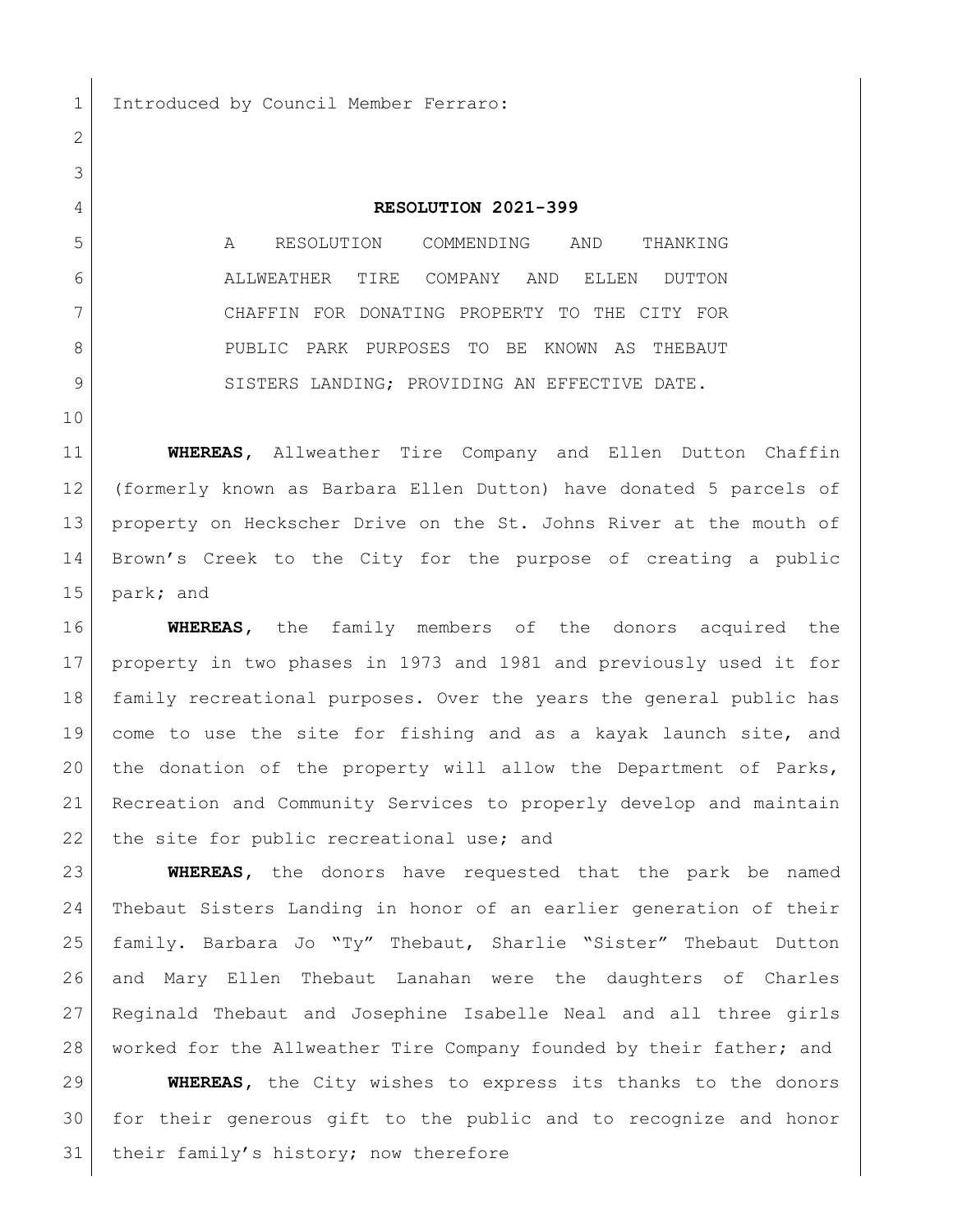Introduced by Council Member Ferraro:

## **RESOLUTION 2021-399**

 A RESOLUTION COMMENDING AND THANKING ALLWEATHER TIRE COMPANY AND ELLEN DUTTON CHAFFIN FOR DONATING PROPERTY TO THE CITY FOR PUBLIC PARK PURPOSES TO BE KNOWN AS THEBAUT 9 SISTERS LANDING; PROVIDING AN EFFECTIVE DATE.

 **WHEREAS,** Allweather Tire Company and Ellen Dutton Chaffin (formerly known as Barbara Ellen Dutton) have donated 5 parcels of 13 property on Heckscher Drive on the St. Johns River at the mouth of Brown's Creek to the City for the purpose of creating a public park**;** and

 **WHEREAS,** the family members of the donors acquired the property in two phases in 1973 and 1981 and previously used it for family recreational purposes. Over the years the general public has come to use the site for fishing and as a kayak launch site, and the donation of the property will allow the Department of Parks, Recreation and Community Services to properly develop and maintain 22 the site for public recreational use; and

 **WHEREAS,** the donors have requested that the park be named Thebaut Sisters Landing in honor of an earlier generation of their family. Barbara Jo "Ty" Thebaut, Sharlie "Sister" Thebaut Dutton and Mary Ellen Thebaut Lanahan were the daughters of Charles Reginald Thebaut and Josephine Isabelle Neal and all three girls worked for the Allweather Tire Company founded by their father; and

 **WHEREAS,** the City wishes to express its thanks to the donors for their generous gift to the public and to recognize and honor 31 | their family's history; now therefore